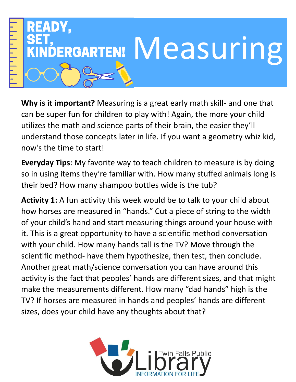

**Why is it important?** Measuring is a great early math skill- and one that can be super fun for children to play with! Again, the more your child utilizes the math and science parts of their brain, the easier they'll understand those concepts later in life. If you want a geometry whiz kid, now's the time to start!

**Everyday Tips**: My favorite way to teach children to measure is by doing so in using items they're familiar with. How many stuffed animals long is their bed? How many shampoo bottles wide is the tub?

**Activity 1:** A fun activity this week would be to talk to your child about how horses are measured in "hands." Cut a piece of string to the width of your child's hand and start measuring things around your house with it. This is a great opportunity to have a scientific method conversation with your child. How many hands tall is the TV? Move through the scientific method- have them hypothesize, then test, then conclude. Another great math/science conversation you can have around this activity is the fact that peoples' hands are different sizes, and that might make the measurements different. How many "dad hands" high is the TV? If horses are measured in hands and peoples' hands are different sizes, does your child have any thoughts about that?